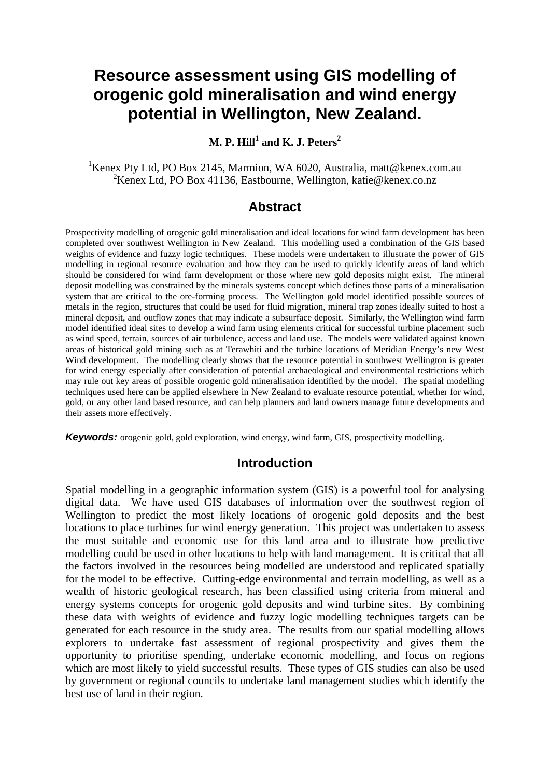# **Resource assessment using GIS modelling of orogenic gold mineralisation and wind energy potential in Wellington, New Zealand.**

# **M. P. Hill<sup>1</sup> and K. J. Peters<sup>2</sup>**

<sup>1</sup>Kenex Pty Ltd, PO Box 2145, Marmion, WA 6020, Australia, matt@kenex.com.au <sup>2</sup>Kenex Ltd, PO Box 41136, Eastbourne, Wellington, katie@kenex.co.nz

### **Abstract**

Prospectivity modelling of orogenic gold mineralisation and ideal locations for wind farm development has been completed over southwest Wellington in New Zealand. This modelling used a combination of the GIS based weights of evidence and fuzzy logic techniques. These models were undertaken to illustrate the power of GIS modelling in regional resource evaluation and how they can be used to quickly identify areas of land which should be considered for wind farm development or those where new gold deposits might exist. The mineral deposit modelling was constrained by the minerals systems concept which defines those parts of a mineralisation system that are critical to the ore-forming process. The Wellington gold model identified possible sources of metals in the region, structures that could be used for fluid migration, mineral trap zones ideally suited to host a mineral deposit, and outflow zones that may indicate a subsurface deposit. Similarly, the Wellington wind farm model identified ideal sites to develop a wind farm using elements critical for successful turbine placement such as wind speed, terrain, sources of air turbulence, access and land use. The models were validated against known areas of historical gold mining such as at Terawhiti and the turbine locations of Meridian Energy's new West Wind development. The modelling clearly shows that the resource potential in southwest Wellington is greater for wind energy especially after consideration of potential archaeological and environmental restrictions which may rule out key areas of possible orogenic gold mineralisation identified by the model. The spatial modelling techniques used here can be applied elsewhere in New Zealand to evaluate resource potential, whether for wind, gold, or any other land based resource, and can help planners and land owners manage future developments and their assets more effectively.

**Keywords:** orogenic gold, gold exploration, wind energy, wind farm, GIS, prospectivity modelling.

#### **Introduction**

Spatial modelling in a geographic information system (GIS) is a powerful tool for analysing digital data. We have used GIS databases of information over the southwest region of Wellington to predict the most likely locations of orogenic gold deposits and the best locations to place turbines for wind energy generation. This project was undertaken to assess the most suitable and economic use for this land area and to illustrate how predictive modelling could be used in other locations to help with land management. It is critical that all the factors involved in the resources being modelled are understood and replicated spatially for the model to be effective. Cutting-edge environmental and terrain modelling, as well as a wealth of historic geological research, has been classified using criteria from mineral and energy systems concepts for orogenic gold deposits and wind turbine sites. By combining these data with weights of evidence and fuzzy logic modelling techniques targets can be generated for each resource in the study area. The results from our spatial modelling allows explorers to undertake fast assessment of regional prospectivity and gives them the opportunity to prioritise spending, undertake economic modelling, and focus on regions which are most likely to yield successful results. These types of GIS studies can also be used by government or regional councils to undertake land management studies which identify the best use of land in their region.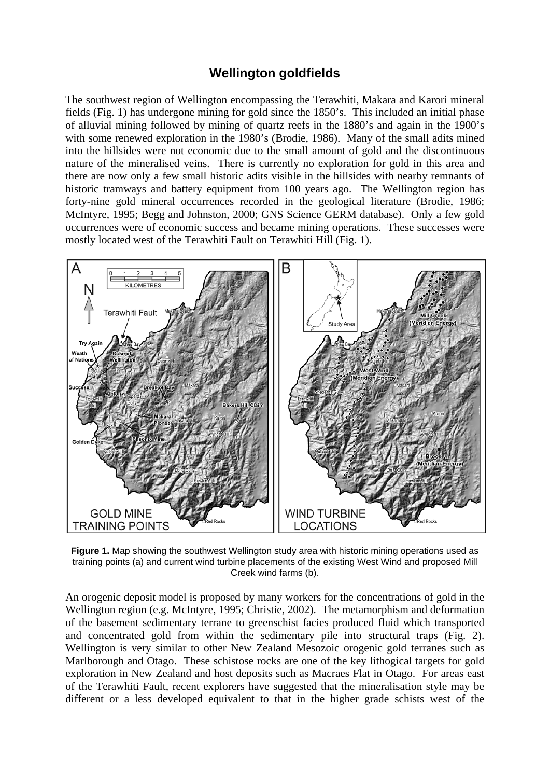# **Wellington goldfields**

The southwest region of Wellington encompassing the Terawhiti, Makara and Karori mineral fields (Fig. 1) has undergone mining for gold since the 1850's. This included an initial phase of alluvial mining followed by mining of quartz reefs in the 1880's and again in the 1900's with some renewed exploration in the 1980's (Brodie, 1986). Many of the small adits mined into the hillsides were not economic due to the small amount of gold and the discontinuous nature of the mineralised veins. There is currently no exploration for gold in this area and there are now only a few small historic adits visible in the hillsides with nearby remnants of historic tramways and battery equipment from 100 years ago. The Wellington region has forty-nine gold mineral occurrences recorded in the geological literature (Brodie, 1986; McIntyre, 1995; Begg and Johnston, 2000; GNS Science GERM database). Only a few gold occurrences were of economic success and became mining operations. These successes were mostly located west of the Terawhiti Fault on Terawhiti Hill (Fig. 1).



**Figure 1.** Map showing the southwest Wellington study area with historic mining operations used as training points (a) and current wind turbine placements of the existing West Wind and proposed Mill Creek wind farms (b).

An orogenic deposit model is proposed by many workers for the concentrations of gold in the Wellington region (e.g. McIntyre, 1995; Christie, 2002). The metamorphism and deformation of the basement sedimentary terrane to greenschist facies produced fluid which transported and concentrated gold from within the sedimentary pile into structural traps (Fig. 2). Wellington is very similar to other New Zealand Mesozoic orogenic gold terranes such as Marlborough and Otago. These schistose rocks are one of the key lithogical targets for gold exploration in New Zealand and host deposits such as Macraes Flat in Otago. For areas east of the Terawhiti Fault, recent explorers have suggested that the mineralisation style may be different or a less developed equivalent to that in the higher grade schists west of the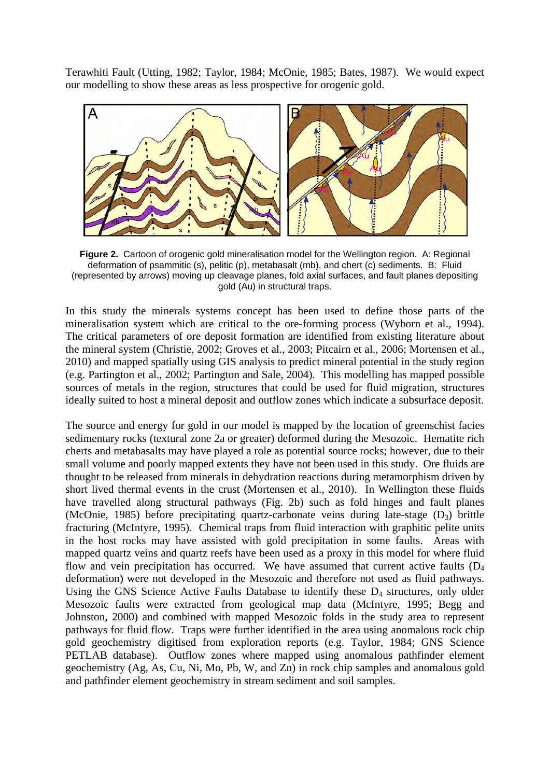Terawhiti Fault (Utting, 1982; Taylor, 1984; McOnie, 1985; Bates, 1987). We would expect our modelling to show these areas as less prospective for orogenic gold.



**Figure 2.** Cartoon of orogenic gold mineralisation model for the Wellington region. A: Regional deformation of psammitic (s), pelitic (p), metabasalt (mb), and chert (c) sediments. B: Fluid (represented by arrows) moving up cleavage planes, fold axial surfaces, and fault planes depositing gold (Au) in structural traps.

In this study the minerals systems concept has been used to define those parts of the mineralisation system which are critical to the ore-forming process (Wyborn et al., 1994). The critical parameters of ore deposit formation are identified from existing literature about the mineral system (Christie, 2002; Groves et al., 2003; Pitcairn et al., 2006; Mortensen et al., 2010) and mapped spatially using GIS analysis to predict mineral potential in the study region (e.g. Partington et al., 2002; Partington and Sale, 2004). This modelling has mapped possible sources of metals in the region, structures that could be used for fluid migration, structures ideally suited to host a mineral deposit and outflow zones which indicate a subsurface deposit.

The source and energy for gold in our model is mapped by the location of greenschist facies sedimentary rocks (textural zone 2a or greater) deformed during the Mesozoic. Hematite rich cherts and metabasalts may have played a role as potential source rocks; however, due to their small volume and poorly mapped extents they have not been used in this study. Ore fluids are thought to be released from minerals in dehydration reactions during metamorphism driven by short lived thermal events in the crust (Mortensen et al., 2010). In Wellington these fluids have travelled along structural pathways (Fig. 2b) such as fold hinges and fault planes (McOnie, 1985) before precipitating quartz-carbonate veins during late-stage  $(D_3)$  brittle fracturing (McIntyre, 1995). Chemical traps from fluid interaction with graphitic pelite units in the host rocks may have assisted with gold precipitation in some faults. Areas with mapped quartz veins and quartz reefs have been used as a proxy in this model for where fluid flow and vein precipitation has occurred. We have assumed that current active faults  $(D_4)$ deformation) were not developed in the Mesozoic and therefore not used as fluid pathways. Using the GNS Science Active Faults Database to identify these  $D_4$  structures, only older Mesozoic faults were extracted from geological map data (McIntyre, 1995; Begg and Johnston, 2000) and combined with mapped Mesozoic folds in the study area to represent pathways for fluid flow. Traps were further identified in the area using anomalous rock chip gold geochemistry digitised from exploration reports (e.g. Taylor, 1984; GNS Science PETLAB database). Outflow zones where mapped using anomalous pathfinder element geochemistry (Ag, As, Cu, Ni, Mo, Pb, W, and Zn) in rock chip samples and anomalous gold and pathfinder element geochemistry in stream sediment and soil samples.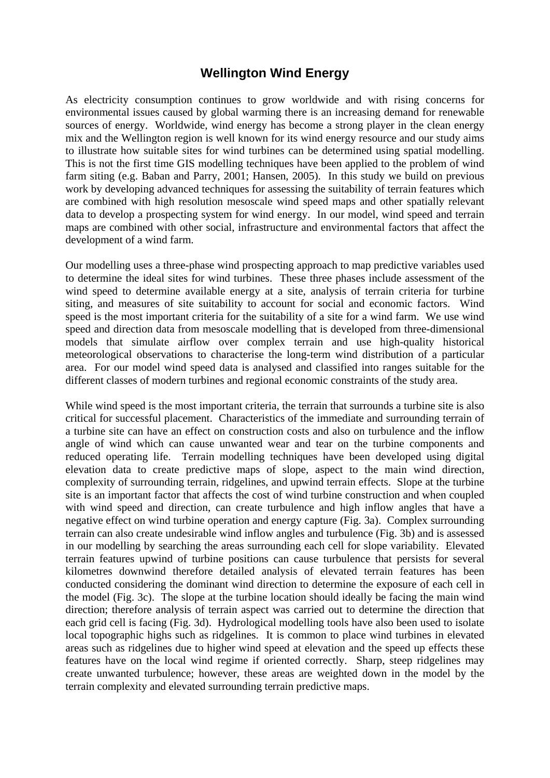# **Wellington Wind Energy**

As electricity consumption continues to grow worldwide and with rising concerns for environmental issues caused by global warming there is an increasing demand for renewable sources of energy. Worldwide, wind energy has become a strong player in the clean energy mix and the Wellington region is well known for its wind energy resource and our study aims to illustrate how suitable sites for wind turbines can be determined using spatial modelling. This is not the first time GIS modelling techniques have been applied to the problem of wind farm siting (e.g. Baban and Parry, 2001; Hansen, 2005). In this study we build on previous work by developing advanced techniques for assessing the suitability of terrain features which are combined with high resolution mesoscale wind speed maps and other spatially relevant data to develop a prospecting system for wind energy. In our model, wind speed and terrain maps are combined with other social, infrastructure and environmental factors that affect the development of a wind farm.

Our modelling uses a three-phase wind prospecting approach to map predictive variables used to determine the ideal sites for wind turbines. These three phases include assessment of the wind speed to determine available energy at a site, analysis of terrain criteria for turbine siting, and measures of site suitability to account for social and economic factors. Wind speed is the most important criteria for the suitability of a site for a wind farm. We use wind speed and direction data from mesoscale modelling that is developed from three-dimensional models that simulate airflow over complex terrain and use high-quality historical meteorological observations to characterise the long-term wind distribution of a particular area. For our model wind speed data is analysed and classified into ranges suitable for the different classes of modern turbines and regional economic constraints of the study area.

While wind speed is the most important criteria, the terrain that surrounds a turbine site is also critical for successful placement. Characteristics of the immediate and surrounding terrain of a turbine site can have an effect on construction costs and also on turbulence and the inflow angle of wind which can cause unwanted wear and tear on the turbine components and reduced operating life. Terrain modelling techniques have been developed using digital elevation data to create predictive maps of slope, aspect to the main wind direction, complexity of surrounding terrain, ridgelines, and upwind terrain effects. Slope at the turbine site is an important factor that affects the cost of wind turbine construction and when coupled with wind speed and direction, can create turbulence and high inflow angles that have a negative effect on wind turbine operation and energy capture (Fig. 3a). Complex surrounding terrain can also create undesirable wind inflow angles and turbulence (Fig. 3b) and is assessed in our modelling by searching the areas surrounding each cell for slope variability. Elevated terrain features upwind of turbine positions can cause turbulence that persists for several kilometres downwind therefore detailed analysis of elevated terrain features has been conducted considering the dominant wind direction to determine the exposure of each cell in the model (Fig. 3c). The slope at the turbine location should ideally be facing the main wind direction; therefore analysis of terrain aspect was carried out to determine the direction that each grid cell is facing (Fig. 3d). Hydrological modelling tools have also been used to isolate local topographic highs such as ridgelines. It is common to place wind turbines in elevated areas such as ridgelines due to higher wind speed at elevation and the speed up effects these features have on the local wind regime if oriented correctly. Sharp, steep ridgelines may create unwanted turbulence; however, these areas are weighted down in the model by the terrain complexity and elevated surrounding terrain predictive maps.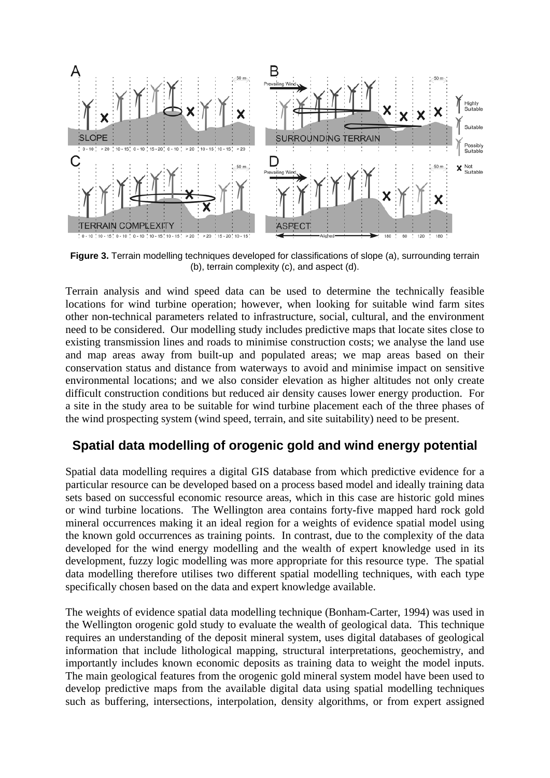

**Figure 3.** Terrain modelling techniques developed for classifications of slope (a), surrounding terrain (b), terrain complexity (c), and aspect (d).

Terrain analysis and wind speed data can be used to determine the technically feasible locations for wind turbine operation; however, when looking for suitable wind farm sites other non-technical parameters related to infrastructure, social, cultural, and the environment need to be considered. Our modelling study includes predictive maps that locate sites close to existing transmission lines and roads to minimise construction costs; we analyse the land use and map areas away from built-up and populated areas; we map areas based on their conservation status and distance from waterways to avoid and minimise impact on sensitive environmental locations; and we also consider elevation as higher altitudes not only create difficult construction conditions but reduced air density causes lower energy production. For a site in the study area to be suitable for wind turbine placement each of the three phases of the wind prospecting system (wind speed, terrain, and site suitability) need to be present.

# **Spatial data modelling of orogenic gold and wind energy potential**

Spatial data modelling requires a digital GIS database from which predictive evidence for a particular resource can be developed based on a process based model and ideally training data sets based on successful economic resource areas, which in this case are historic gold mines or wind turbine locations. The Wellington area contains forty-five mapped hard rock gold mineral occurrences making it an ideal region for a weights of evidence spatial model using the known gold occurrences as training points. In contrast, due to the complexity of the data developed for the wind energy modelling and the wealth of expert knowledge used in its development, fuzzy logic modelling was more appropriate for this resource type. The spatial data modelling therefore utilises two different spatial modelling techniques, with each type specifically chosen based on the data and expert knowledge available.

The weights of evidence spatial data modelling technique (Bonham-Carter, 1994) was used in the Wellington orogenic gold study to evaluate the wealth of geological data. This technique requires an understanding of the deposit mineral system, uses digital databases of geological information that include lithological mapping, structural interpretations, geochemistry, and importantly includes known economic deposits as training data to weight the model inputs. The main geological features from the orogenic gold mineral system model have been used to develop predictive maps from the available digital data using spatial modelling techniques such as buffering, intersections, interpolation, density algorithms, or from expert assigned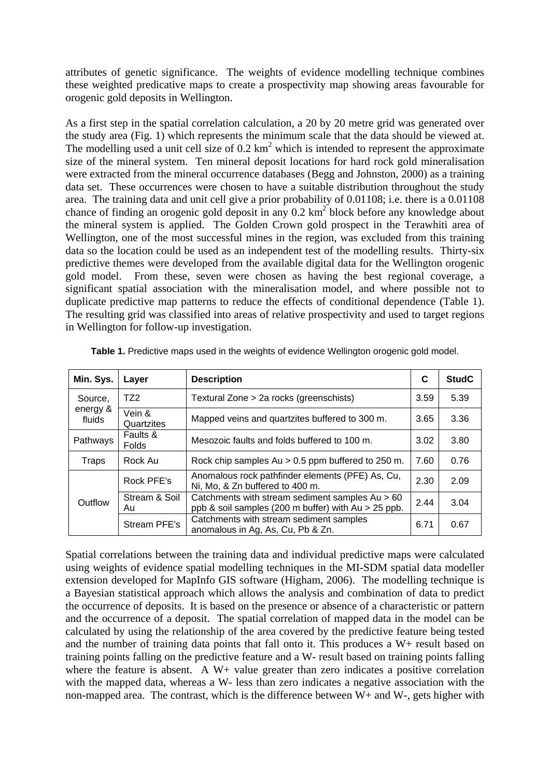attributes of genetic significance. The weights of evidence modelling technique combines these weighted predicative maps to create a prospectivity map showing areas favourable for orogenic gold deposits in Wellington.

As a first step in the spatial correlation calculation, a 20 by 20 metre grid was generated over the study area (Fig. 1) which represents the minimum scale that the data should be viewed at. The modelling used a unit cell size of  $0.2 \text{ km}^2$  which is intended to represent the approximate size of the mineral system. Ten mineral deposit locations for hard rock gold mineralisation were extracted from the mineral occurrence databases (Begg and Johnston, 2000) as a training data set. These occurrences were chosen to have a suitable distribution throughout the study area. The training data and unit cell give a prior probability of 0.01108; i.e. there is a 0.01108 chance of finding an orogenic gold deposit in any 0.2 km<sup>2</sup> block before any knowledge about the mineral system is applied. The Golden Crown gold prospect in the Terawhiti area of Wellington, one of the most successful mines in the region, was excluded from this training data so the location could be used as an independent test of the modelling results. Thirty-six predictive themes were developed from the available digital data for the Wellington orogenic gold model. From these, seven were chosen as having the best regional coverage, a significant spatial association with the mineralisation model, and where possible not to duplicate predictive map patterns to reduce the effects of conditional dependence (Table 1). The resulting grid was classified into areas of relative prospectivity and used to target regions in Wellington for follow-up investigation.

| Min. Sys.                     | Layer                    | <b>Description</b>                                                                                       | C    | <b>StudC</b> |
|-------------------------------|--------------------------|----------------------------------------------------------------------------------------------------------|------|--------------|
| Source,<br>energy &<br>fluids | TZ2                      | Textural Zone > 2a rocks (greenschists)                                                                  | 3.59 | 5.39         |
|                               | Vein &<br>Quartzites     | Mapped veins and quartzites buffered to 300 m.                                                           | 3.65 | 3.36         |
| Pathways                      | Faults &<br><b>Folds</b> | Mesozoic faults and folds buffered to 100 m.                                                             | 3.02 | 3.80         |
| Traps                         | Rock Au                  | Rock chip samples Au $> 0.5$ ppm buffered to 250 m.                                                      | 7.60 | 0.76         |
| Outflow                       | Rock PFE's               | Anomalous rock pathfinder elements (PFE) As, Cu,<br>Ni, Mo, & Zn buffered to 400 m.                      | 2.30 | 2.09         |
|                               | Stream & Soil<br>Au      | Catchments with stream sediment samples Au > 60<br>ppb & soil samples (200 m buffer) with $Au > 25$ ppb. | 2.44 | 3.04         |
|                               | Stream PFE's             | Catchments with stream sediment samples<br>anomalous in Ag, As, Cu, Pb & Zn.                             | 6.71 | 0.67         |

**Table 1.** Predictive maps used in the weights of evidence Wellington orogenic gold model.

Spatial correlations between the training data and individual predictive maps were calculated using weights of evidence spatial modelling techniques in the MI-SDM spatial data modeller extension developed for MapInfo GIS software (Higham, 2006). The modelling technique is a Bayesian statistical approach which allows the analysis and combination of data to predict the occurrence of deposits. It is based on the presence or absence of a characteristic or pattern and the occurrence of a deposit. The spatial correlation of mapped data in the model can be calculated by using the relationship of the area covered by the predictive feature being tested and the number of training data points that fall onto it. This produces a W+ result based on training points falling on the predictive feature and a W- result based on training points falling where the feature is absent. A W+ value greater than zero indicates a positive correlation with the mapped data, whereas a W- less than zero indicates a negative association with the non-mapped area. The contrast, which is the difference between W+ and W-, gets higher with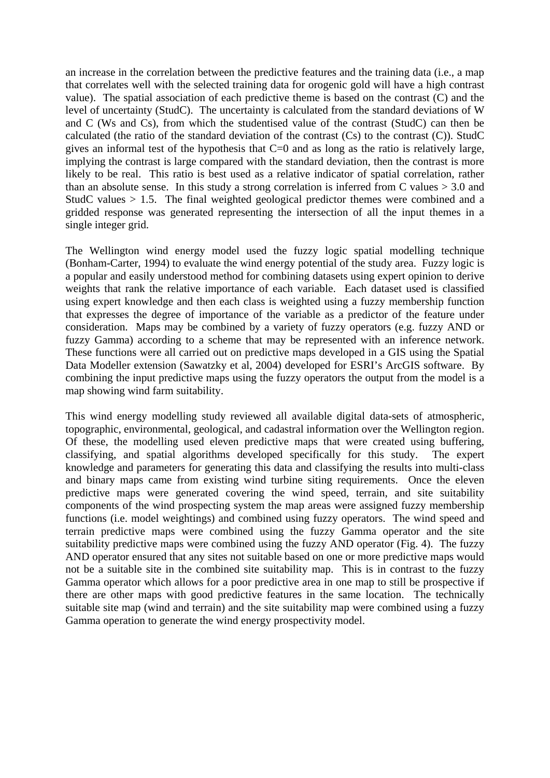an increase in the correlation between the predictive features and the training data (i.e., a map that correlates well with the selected training data for orogenic gold will have a high contrast value). The spatial association of each predictive theme is based on the contrast (C) and the level of uncertainty (StudC). The uncertainty is calculated from the standard deviations of W and C (Ws and Cs), from which the studentised value of the contrast (StudC) can then be calculated (the ratio of the standard deviation of the contrast  $(Cs)$  to the contrast  $(C)$ ). StudC gives an informal test of the hypothesis that  $C=0$  and as long as the ratio is relatively large, implying the contrast is large compared with the standard deviation, then the contrast is more likely to be real. This ratio is best used as a relative indicator of spatial correlation, rather than an absolute sense. In this study a strong correlation is inferred from C values  $> 3.0$  and StudC values  $> 1.5$ . The final weighted geological predictor themes were combined and a gridded response was generated representing the intersection of all the input themes in a single integer grid.

The Wellington wind energy model used the fuzzy logic spatial modelling technique (Bonham-Carter, 1994) to evaluate the wind energy potential of the study area. Fuzzy logic is a popular and easily understood method for combining datasets using expert opinion to derive weights that rank the relative importance of each variable. Each dataset used is classified using expert knowledge and then each class is weighted using a fuzzy membership function that expresses the degree of importance of the variable as a predictor of the feature under consideration. Maps may be combined by a variety of fuzzy operators (e.g. fuzzy AND or fuzzy Gamma) according to a scheme that may be represented with an inference network. These functions were all carried out on predictive maps developed in a GIS using the Spatial Data Modeller extension (Sawatzky et al, 2004) developed for ESRI's ArcGIS software. By combining the input predictive maps using the fuzzy operators the output from the model is a map showing wind farm suitability.

This wind energy modelling study reviewed all available digital data-sets of atmospheric, topographic, environmental, geological, and cadastral information over the Wellington region. Of these, the modelling used eleven predictive maps that were created using buffering, classifying, and spatial algorithms developed specifically for this study. The expert knowledge and parameters for generating this data and classifying the results into multi-class and binary maps came from existing wind turbine siting requirements. Once the eleven predictive maps were generated covering the wind speed, terrain, and site suitability components of the wind prospecting system the map areas were assigned fuzzy membership functions (i.e. model weightings) and combined using fuzzy operators. The wind speed and terrain predictive maps were combined using the fuzzy Gamma operator and the site suitability predictive maps were combined using the fuzzy AND operator (Fig. 4). The fuzzy AND operator ensured that any sites not suitable based on one or more predictive maps would not be a suitable site in the combined site suitability map. This is in contrast to the fuzzy Gamma operator which allows for a poor predictive area in one map to still be prospective if there are other maps with good predictive features in the same location. The technically suitable site map (wind and terrain) and the site suitability map were combined using a fuzzy Gamma operation to generate the wind energy prospectivity model.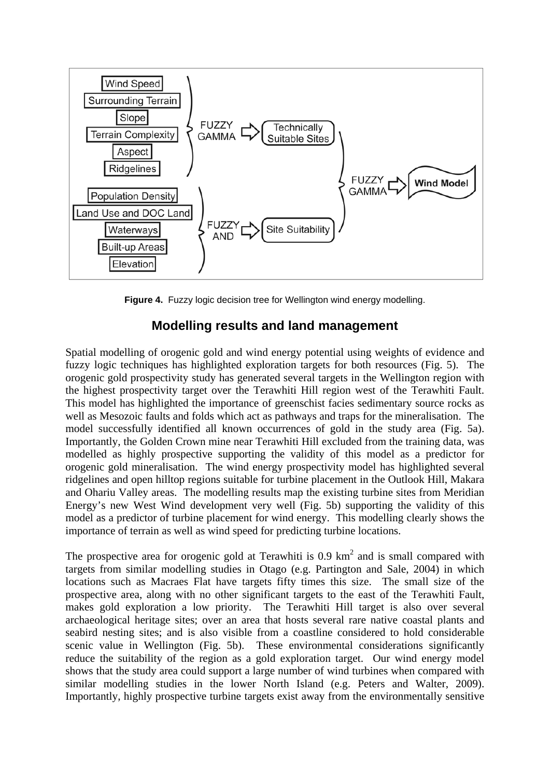

**Figure 4.** Fuzzy logic decision tree for Wellington wind energy modelling.

# **Modelling results and land management**

Spatial modelling of orogenic gold and wind energy potential using weights of evidence and fuzzy logic techniques has highlighted exploration targets for both resources (Fig. 5). The orogenic gold prospectivity study has generated several targets in the Wellington region with the highest prospectivity target over the Terawhiti Hill region west of the Terawhiti Fault. This model has highlighted the importance of greenschist facies sedimentary source rocks as well as Mesozoic faults and folds which act as pathways and traps for the mineralisation. The model successfully identified all known occurrences of gold in the study area (Fig. 5a). Importantly, the Golden Crown mine near Terawhiti Hill excluded from the training data, was modelled as highly prospective supporting the validity of this model as a predictor for orogenic gold mineralisation. The wind energy prospectivity model has highlighted several ridgelines and open hilltop regions suitable for turbine placement in the Outlook Hill, Makara and Ohariu Valley areas. The modelling results map the existing turbine sites from Meridian Energy's new West Wind development very well (Fig. 5b) supporting the validity of this model as a predictor of turbine placement for wind energy. This modelling clearly shows the importance of terrain as well as wind speed for predicting turbine locations.

The prospective area for orogenic gold at Terawhiti is  $0.9 \text{ km}^2$  and is small compared with targets from similar modelling studies in Otago (e.g. Partington and Sale, 2004) in which locations such as Macraes Flat have targets fifty times this size. The small size of the prospective area, along with no other significant targets to the east of the Terawhiti Fault, makes gold exploration a low priority. The Terawhiti Hill target is also over several archaeological heritage sites; over an area that hosts several rare native coastal plants and seabird nesting sites; and is also visible from a coastline considered to hold considerable scenic value in Wellington (Fig. 5b). These environmental considerations significantly reduce the suitability of the region as a gold exploration target. Our wind energy model shows that the study area could support a large number of wind turbines when compared with similar modelling studies in the lower North Island (e.g. Peters and Walter, 2009). Importantly, highly prospective turbine targets exist away from the environmentally sensitive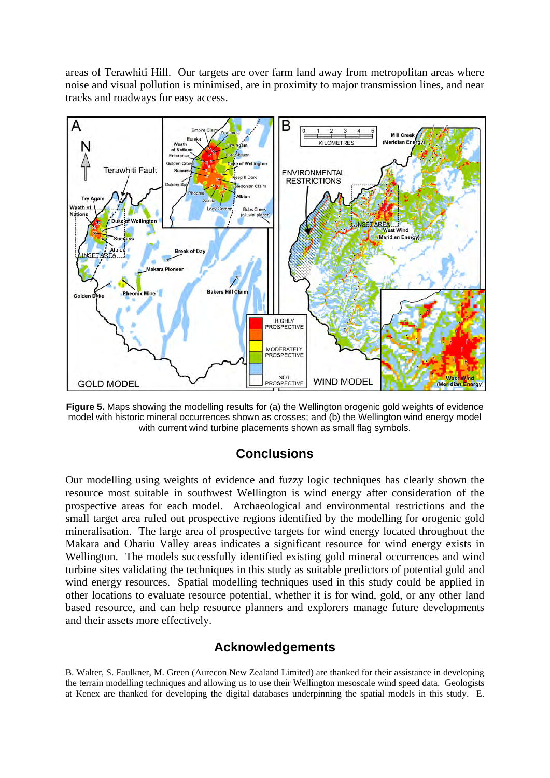areas of Terawhiti Hill. Our targets are over farm land away from metropolitan areas where noise and visual pollution is minimised, are in proximity to major transmission lines, and near tracks and roadways for easy access.



**Figure 5.** Maps showing the modelling results for (a) the Wellington orogenic gold weights of evidence model with historic mineral occurrences shown as crosses; and (b) the Wellington wind energy model with current wind turbine placements shown as small flag symbols.

# **Conclusions**

Our modelling using weights of evidence and fuzzy logic techniques has clearly shown the resource most suitable in southwest Wellington is wind energy after consideration of the prospective areas for each model. Archaeological and environmental restrictions and the small target area ruled out prospective regions identified by the modelling for orogenic gold mineralisation. The large area of prospective targets for wind energy located throughout the Makara and Ohariu Valley areas indicates a significant resource for wind energy exists in Wellington. The models successfully identified existing gold mineral occurrences and wind turbine sites validating the techniques in this study as suitable predictors of potential gold and wind energy resources. Spatial modelling techniques used in this study could be applied in other locations to evaluate resource potential, whether it is for wind, gold, or any other land based resource, and can help resource planners and explorers manage future developments and their assets more effectively.

# **Acknowledgements**

B. Walter, S. Faulkner, M. Green (Aurecon New Zealand Limited) are thanked for their assistance in developing the terrain modelling techniques and allowing us to use their Wellington mesoscale wind speed data. Geologists at Kenex are thanked for developing the digital databases underpinning the spatial models in this study. E.